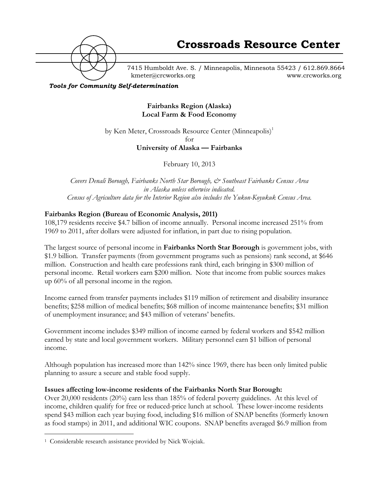

7415 Humboldt Ave. S. / Minneapolis, Minnesota 55423 / 612.869.8664 kmeter@crcworks.org www.crcworks.org

*Tools for Community Self-determination*

### **Fairbanks Region (Alaska) Local Farm & Food Economy**

by Ken Meter, Crossroads Resource Center (Minneapolis)<sup>1</sup> for

**University of Alaska — Fairbanks**

February 10, 2013

*Covers Denali Borough, Fairbanks North Star Borough, & Southeast Fairbanks Census Area in Alaska unless otherwise indicated. Census of Agriculture data for the Interior Region also includes the Yukon-Koyukuk Census Area.*

### **Fairbanks Region (Bureau of Economic Analysis, 2011)**

108,179 residents receive \$4.7 billion of income annually. Personal income increased 251% from 1969 to 2011, after dollars were adjusted for inflation, in part due to rising population.

The largest source of personal income in **Fairbanks North Star Borough** is government jobs, with \$1.9 billion*.* Transfer payments (from government programs such as pensions) rank second, at \$646 million. Construction and health care professions rank third, each bringing in \$300 million of personal income. Retail workers earn \$200 million. Note that income from public sources makes up 60% of all personal income in the region.

Income earned from transfer payments includes \$119 million of retirement and disability insurance benefits; \$258 million of medical benefits; \$68 million of income maintenance benefits; \$31 million of unemployment insurance; and \$43 million of veterans' benefits.

Government income includes \$349 million of income earned by federal workers and \$542 million earned by state and local government workers. Military personnel earn \$1 billion of personal income.

Although population has increased more than 142% since 1969, there has been only limited public planning to assure a secure and stable food supply.

### **Issues affecting low-income residents of the Fairbanks North Star Borough:**

Over 20,000 residents (20%) earn less than 185% of federal poverty guidelines. At this level of income, children qualify for free or reduced-price lunch at school. These lower-income residents spend \$43 million each year buying food, including \$16 million of SNAP benefits (formerly known as food stamps) in 2011, and additional WIC coupons. SNAP benefits averaged \$6.9 million from

 <sup>1</sup> Considerable research assistance provided by Nick Wojciak.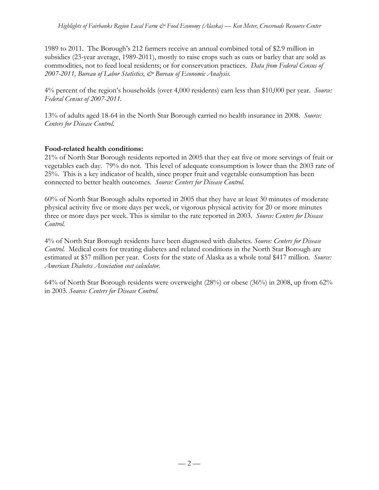1989 to 2011. The Borough's 212 farmers receive an annual combined total of \$2.9 million in subsidies (23-year average, 1989-2011), mostly to raise crops such as oats or barley that are sold as commodities, not to feed local residents; or for conservation practices. *Data from Federal Census of 2007-2011, Bureau of Labor Statistics, & Bureau of Economic Analysis.*

4% percent of the region's households (over 4,000 residents) earn less than \$10,000 per year. *Source: Federal Census of 2007-2011.*

13% of adults aged 18-64 in the North Star Borough carried no health insurance in 2008. *Source: Centers for Disease Control.*

### **Food-related health conditions:**

21% of North Star Borough residents reported in 2005 that they eat five or more servings of fruit or vegetables each day. 79% do not. This level of adequate consumption is lower than the 2003 rate of 25%. This is a key indicator of health, since proper fruit and vegetable consumption has been connected to better health outcomes. *Source: Centers for Disease Control.*

60% of North Star Borough adults reported in 2005 that they have at least 30 minutes of moderate physical activity five or more days per week, or vigorous physical activity for 20 or more minutes three or more days per week. This is similar to the rate reported in 2003. *Source: Centers for Disease Control.*

4% of North Star Borough residents have been diagnosed with diabetes. *Source: Centers for Disease Control.* Medical costs for treating diabetes and related conditions in the North Star Borough are estimated at \$57 million per year. Costs for the state of Alaska as a whole total \$417 million. *Source: American Diabetes Association cost calculator.*

64% of North Star Borough residents were overweight (28%) or obese (36%) in 2008, up from 62% in 2003. *Source: Centers for Disease Control.*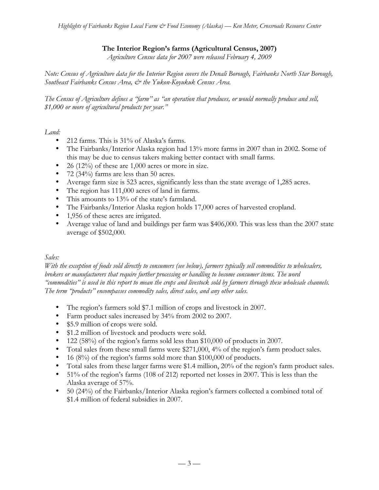### **The Interior Region's farms (Agricultural Census, 2007)**

*Agriculture Census data for 2007 were released February 4, 2009*

*Note: Census of Agriculture data for the Interior Region covers the Denali Borough, Fairbanks North Star Borough, Southeast Fairbanks Census Area, & the Yukon-Koyukuk Census Area.*

*The Census of Agriculture defines a "farm" as "an operation that produces, or would normally produce and sell, \$1,000 or more of agricultural products per year."*

*Land:*

- 212 farms. This is 31% of Alaska's farms.
- The Fairbanks/Interior Alaska region had 13% more farms in 2007 than in 2002. Some of this may be due to census takers making better contact with small farms.
- 26 (12%) of these are 1,000 acres or more in size.
- 72 (34%) farms are less than 50 acres.
- Average farm size is 523 acres, significantly less than the state average of 1,285 acres.
- The region has 111,000 acres of land in farms.
- This amounts to 13% of the state's farmland.
- The Fairbanks/Interior Alaska region holds 17,000 acres of harvested cropland.
- 1,956 of these acres are irrigated.
- Average value of land and buildings per farm was \$406,000. This was less than the 2007 state average of \$502,000.

### *Sales:*

*With the exception of foods sold directly to consumers (see below), farmers typically sell commodities to wholesalers, brokers or manufacturers that require further processing or handling to become consumer items. The word "commodities" is used in this report to mean the crops and livestock sold by farmers through these wholesale channels. The term "products" encompasses commodity sales, direct sales, and any other sales.*

- The region's farmers sold \$7.1 million of crops and livestock in 2007.
- Farm product sales increased by 34% from 2002 to 2007.
- \$5.9 million of crops were sold.
- \$1.2 million of livestock and products were sold.
- 122 (58%) of the region's farms sold less than \$10,000 of products in 2007.
- Total sales from these small farms were \$271,000, 4% of the region's farm product sales.
- 16 (8%) of the region's farms sold more than \$100,000 of products.
- Total sales from these larger farms were \$1.4 million, 20% of the region's farm product sales.
- 51% of the region's farms (108 of 212) reported net losses in 2007. This is less than the Alaska average of 57%.
- 50 (24%) of the Fairbanks/Interior Alaska region's farmers collected a combined total of \$1.4 million of federal subsidies in 2007.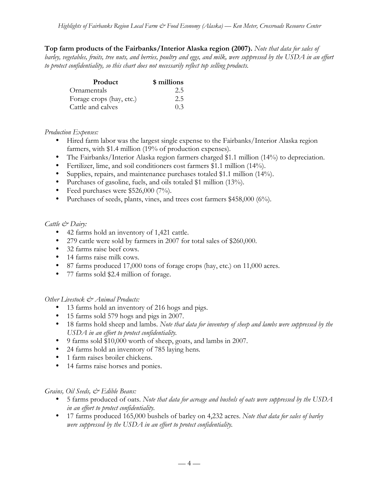**Top farm products of the Fairbanks/Interior Alaska region (2007).** *Note that data for sales of barley, vegetables, fruits, tree nuts, and berries, poultry and eggs, and milk, were suppressed by the USDA in an effort to protect confidentiality, so this chart does not necessarily reflect top selling products.*

| <b>Product</b>           | \$ millions |
|--------------------------|-------------|
| Ornamentals              | 2.5         |
| Forage crops (hay, etc.) | 2.5         |
| Cattle and calves        | $()$ 3      |

### *Production Expenses:*

- Hired farm labor was the largest single expense to the Fairbanks/Interior Alaska region farmers, with \$1.4 million (19% of production expenses).
- The Fairbanks/Interior Alaska region farmers charged \$1.1 million (14%) to depreciation.
- Fertilizer, lime, and soil conditioners cost farmers \$1.1 million (14%).
- Supplies, repairs, and maintenance purchases totaled \$1.1 million (14%).
- Purchases of gasoline, fuels, and oils totaled \$1 million (13%).
- Feed purchases were \$526,000 (7%).
- Purchases of seeds, plants, vines, and trees cost farmers \$458,000 (6%).

### *Cattle & Dairy:*

- 42 farms hold an inventory of 1,421 cattle.
- 279 cattle were sold by farmers in 2007 for total sales of \$260,000.
- 32 farms raise beef cows.
- 14 farms raise milk cows.
- 87 farms produced 17,000 tons of forage crops (hay, etc.) on 11,000 acres.
- 77 farms sold \$2.4 million of forage.

### *Other Livestock & Animal Products:*

- 13 farms hold an inventory of 216 hogs and pigs.
- 15 farms sold 579 hogs and pigs in 2007.
- 18 farms hold sheep and lambs. *Note that data for inventory of sheep and lambs were suppressed by the USDA in an effort to protect confidentiality.*
- 9 farms sold \$10,000 worth of sheep, goats, and lambs in 2007.
- 24 farms hold an inventory of 785 laying hens*.*
- 1 farm raises broiler chickens.
- 14 farms raise horses and ponies.

### *Grains, Oil Seeds, & Edible Beans:*

- 5 farms produced of oats. *Note that data for acreage and bushels of oats were suppressed by the USDA in an effort to protect confidentiality.*
- 17 farms produced 165,000 bushels of barley on 4,232 acres. *Note that data for sales of barley were suppressed by the USDA in an effort to protect confidentiality.*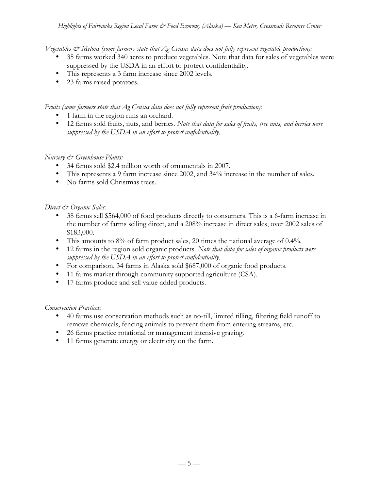*Vegetables & Melons (some farmers state that Ag Census data does not fully represent vegetable production):*

- 35 farms worked 340 acres to produce vegetables. Note that data for sales of vegetables were suppressed by the USDA in an effort to protect confidentiality.
- This represents a 3 farm increase since 2002 levels.
- 23 farms raised potatoes.

*Fruits (some farmers state that Ag Census data does not fully represent fruit production):*

- 1 farm in the region runs an orchard.
- 12 farms sold fruits, nuts, and berries*. Note that data for sales of fruits, tree nuts, and berries were suppressed by the USDA in an effort to protect confidentiality.*

### *Nursery & Greenhouse Plants:*

- 34 farms sold \$2.4 million worth of ornamentals in 2007.
- This represents a 9 farm increase since 2002, and 34% increase in the number of sales.
- No farms sold Christmas trees.

### *Direct & Organic Sales:*

- 38 farms sell \$564,000 of food products directly to consumers. This is a 6-farm increase in the number of farms selling direct, and a 208% increase in direct sales, over 2002 sales of \$183,000.
- This amounts to 8% of farm product sales, 20 times the national average of 0.4%.
- 12 farms in the region sold organic products. *Note that data for sales of organic products were suppressed by the USDA in an effort to protect confidentiality.*
- For comparison, 34 farms in Alaska sold \$687,000 of organic food products.
- 11 farms market through community supported agriculture (CSA).
- 17 farms produce and sell value-added products.

### *Conservation Practices:*

- 40 farms use conservation methods such as no-till, limited tilling, filtering field runoff to remove chemicals, fencing animals to prevent them from entering streams, etc.
- 26 farms practice rotational or management intensive grazing.
- 11 farms generate energy or electricity on the farm.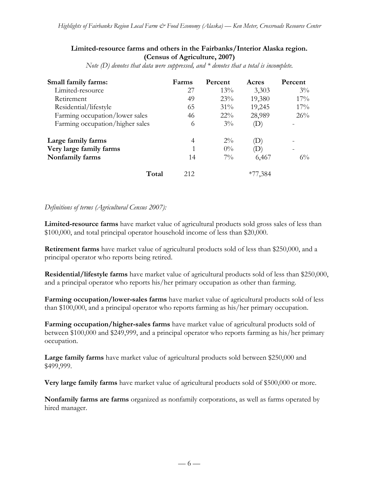### **Limited-resource farms and others in the Fairbanks/Interior Alaska region. (Census of Agriculture, 2007)**

*Note (D) denotes that data were suppressed, and \* denotes that a total is incomplete.*

| Small family farms:             | Farms | Percent | Acres       | Percent |
|---------------------------------|-------|---------|-------------|---------|
| Limited-resource                | 27    | 13%     | 3,303       | $3\%$   |
| Retirement                      | 49    | 23%     | 19,380      | $17\%$  |
| Residential/lifestyle           | 65    | 31%     | 19,245      | 17%     |
| Farming occupation/lower sales  | 46    | $22\%$  | 28,989      | 26%     |
| Farming occupation/higher sales | 6     | $3\%$   | D)          |         |
| Large family farms              | 4     | $2\%$   | 'D)         |         |
| Very large family farms         |       | $0\%$   | $ D\rangle$ |         |
| Nonfamily farms                 | 14    | $7\%$   | 6,467       | $6\%$   |
| Total                           | 212   |         | $*77,384$   |         |

### *Definitions of terms (Agricultural Census 2007):*

**Limited-resource farms** have market value of agricultural products sold gross sales of less than \$100,000, and total principal operator household income of less than \$20,000.

**Retirement farms** have market value of agricultural products sold of less than \$250,000, and a principal operator who reports being retired.

**Residential/lifestyle farms** have market value of agricultural products sold of less than \$250,000, and a principal operator who reports his/her primary occupation as other than farming.

**Farming occupation/lower-sales farms** have market value of agricultural products sold of less than \$100,000, and a principal operator who reports farming as his/her primary occupation.

**Farming occupation/higher-sales farms** have market value of agricultural products sold of between \$100,000 and \$249,999, and a principal operator who reports farming as his/her primary occupation.

**Large family farms** have market value of agricultural products sold between \$250,000 and \$499,999.

**Very large family farms** have market value of agricultural products sold of \$500,000 or more.

**Nonfamily farms are farms** organized as nonfamily corporations, as well as farms operated by hired manager.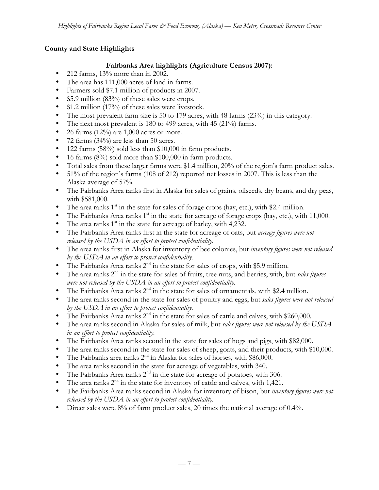# **County and State Highlights**

# **Fairbanks Area highlights (Agriculture Census 2007):**

- 212 farms, 13% more than in 2002.
- The area has 111,000 acres of land in farms.
- Farmers sold \$7.1 million of products in 2007.
- \$5.9 million (83%) of these sales were crops.
- \$1.2 million (17%) of these sales were livestock.
- The most prevalent farm size is 50 to 179 acres, with 48 farms (23%) in this category.
- The next most prevalent is 180 to 499 acres, with 45 (21%) farms.
- 26 farms  $(12\%)$  are 1,000 acres or more.
- 72 farms (34%) are less than 50 acres.
- 122 farms (58%) sold less than \$10,000 in farm products.
- 16 farms (8%) sold more than \$100,000 in farm products.
- Total sales from these larger farms were \$1.4 million, 20% of the region's farm product sales.
- 51% of the region's farms (108 of 212) reported net losses in 2007. This is less than the Alaska average of 57%.
- The Fairbanks Area ranks first in Alaska for sales of grains, oilseeds, dry beans, and dry peas, with \$581,000.
- The area ranks  $1<sup>st</sup>$  in the state for sales of forage crops (hay, etc.), with \$2.4 million.
- The Fairbanks Area ranks  $1<sup>st</sup>$  in the state for acreage of forage crops (hay, etc.), with 11,000.
- The area ranks  $1<sup>st</sup>$  in the state for acreage of barley, with 4,232.
- The Fairbanks Area ranks first in the state for acreage of oats, but *acreage figures were not released by the USDA in an effort to protect confidentiality.*
- The area ranks first in Alaska for inventory of bee colonies, but *inventory figures were not released by the USDA in an effort to protect confidentiality.*
- The Fairbanks Area ranks  $2<sup>nd</sup>$  in the state for sales of crops, with \$5.9 million.
- The area ranks 2<sup>nd</sup> in the state for sales of fruits, tree nuts, and berries, with, but *sales figures were not released by the USDA in an effort to protect confidentiality.*
- The Fairbanks Area ranks  $2<sup>nd</sup>$  in the state for sales of ornamentals, with \$2.4 million.
- The area ranks second in the state for sales of poultry and eggs, but *sales figures were not released by the USDA in an effort to protect confidentiality.*
- The Fairbanks Area ranks  $2<sup>nd</sup>$  in the state for sales of cattle and calves, with \$260,000.
- The area ranks second in Alaska for sales of milk, but *sales figures were not released by the USDA in an effort to protect confidentiality.*
- The Fairbanks Area ranks second in the state for sales of hogs and pigs, with \$82,000.
- The area ranks second in the state for sales of sheep, goats, and their products, with \$10,000.
- The Fairbanks area ranks  $2<sup>nd</sup>$  in Alaska for sales of horses, with \$86,000.
- The area ranks second in the state for acreage of vegetables, with 340.
- The Fairbanks Area ranks  $2<sup>nd</sup>$  in the state for acreage of potatoes, with 306.
- The area ranks  $2^{nd}$  in the state for inventory of cattle and calves, with 1,421.
- The Fairbanks Area ranks second in Alaska for inventory of bison, but *inventory figures were not released by the USDA in an effort to protect confidentiality.*
- Direct sales were 8% of farm product sales, 20 times the national average of 0.4%.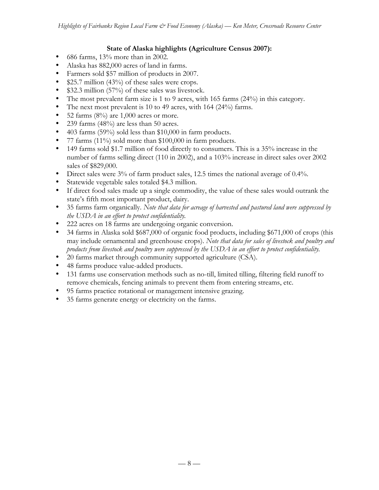### **State of Alaska highlights (Agriculture Census 2007):**

- 686 farms, 13% more than in 2002.
- Alaska has 882,000 acres of land in farms.
- Farmers sold \$57 million of products in 2007.
- \$25.7 million (43%) of these sales were crops.
- \$32.3 million (57%) of these sales was livestock.
- The most prevalent farm size is 1 to 9 acres, with 165 farms (24%) in this category.
- The next most prevalent is 10 to 49 acres, with 164 (24%) farms.
- 52 farms  $(8\%)$  are 1,000 acres or more.
- 239 farms (48%) are less than 50 acres.
- 403 farms (59%) sold less than \$10,000 in farm products.
- 77 farms (11%) sold more than \$100,000 in farm products.
- 149 farms sold \$1.7 million of food directly to consumers. This is a 35% increase in the number of farms selling direct (110 in 2002), and a 103% increase in direct sales over 2002 sales of \$829,000.
- Direct sales were  $3\%$  of farm product sales, 12.5 times the national average of 0.4%.
- Statewide vegetable sales totaled \$4.3 million.
- If direct food sales made up a single commodity, the value of these sales would outrank the state's fifth most important product, dairy.
- 35 farms farm organically. *Note that data for acreage of harvested and pastured land were suppressed by the USDA in an effort to protect confidentiality.*
- 222 acres on 18 farms are undergoing organic conversion.
- 34 farms in Alaska sold \$687,000 of organic food products, including \$671,000 of crops (this may include ornamental and greenhouse crops). *Note that data for sales of livestock and poultry and products from livestock and poultry were suppressed by the USDA in an effort to protect confidentiality.*
- 20 farms market through community supported agriculture (CSA).
- 48 farms produce value-added products.
- 131 farms use conservation methods such as no-till, limited tilling, filtering field runoff to remove chemicals, fencing animals to prevent them from entering streams, etc.
- 95 farms practice rotational or management intensive grazing.
- 35 farms generate energy or electricity on the farms.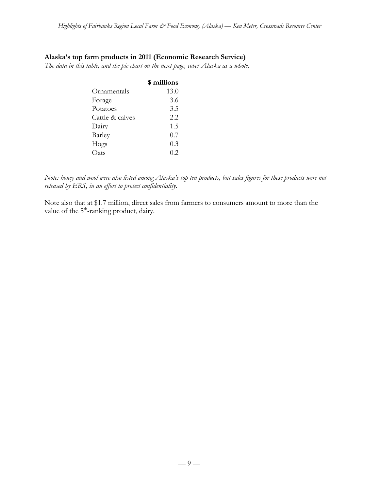### **Alaska's top farm products in 2011 (Economic Research Service)**

*The data in this table, and the pie chart on the next page, cover Alaska as a whole.*

|                 | \$ millions |
|-----------------|-------------|
| Ornamentals     | 13.0        |
| Forage          | 3.6         |
| Potatoes        | 3.5         |
| Cattle & calves | 2.2         |
| Dairy           | 1.5         |
| Barley          | 0.7         |
| Hogs            | 0.3         |
| Oats            | 0.2         |

*Note: honey and wool were also listed among Alaska's top ten products, but sales figures for these products were not released by ERS, in an effort to protect confidentiality.*

Note also that at \$1.7 million, direct sales from farmers to consumers amount to more than the value of the 5<sup>th</sup>-ranking product, dairy.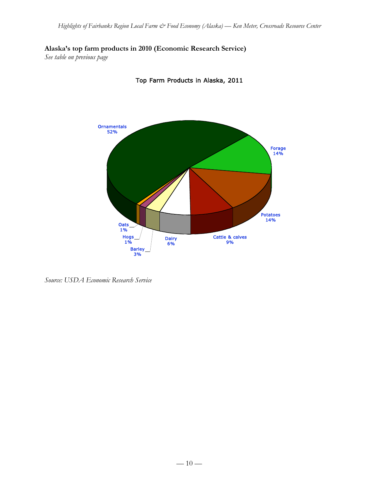**Alaska's top farm products in 2010 (Economic Research Service)**

*See table on previous page*



Top Farm Products in Alaska, 2011

*Source: USDA Economic Research Service*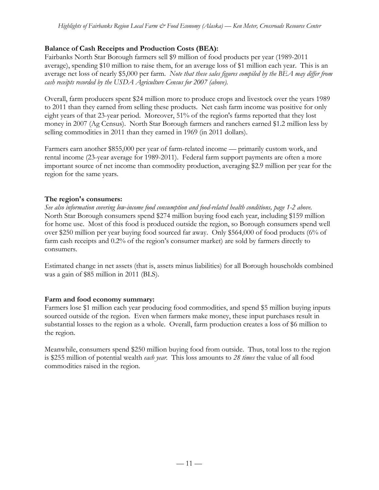# **Balance of Cash Receipts and Production Costs (BEA):**

Fairbanks North Star Borough farmers sell \$9 million of food products per year (1989-2011 average), spending \$10 million to raise them, for an average loss of \$1 million each year. This is an average net loss of nearly \$5,000 per farm. *Note that these sales figures compiled by the BEA may differ from cash receipts recorded by the USDA Agriculture Census for 2007 (above).*

Overall, farm producers spent \$24 million more to produce crops and livestock over the years 1989 to 2011 than they earned from selling these products. Net cash farm income was positive for only eight years of that 23-year period. Moreover, 51% of the region's farms reported that they lost money in 2007 (Ag Census). North Star Borough farmers and ranchers earned \$1.2 million less by selling commodities in 2011 than they earned in 1969 (in 2011 dollars).

Farmers earn another \$855,000 per year of farm-related income — primarily custom work, and rental income (23-year average for 1989-2011). Federal farm support payments are often a more important source of net income than commodity production, averaging \$2.9 million per year for the region for the same years.

# **The region's consumers:**

*See also information covering low-income food consumption and food-related health conditions, page 1-2 above.* North Star Borough consumers spend \$274 million buying food each year, including \$159 million for home use. Most of this food is produced outside the region, so Borough consumers spend well over \$250 million per year buying food sourced far away. Only \$564,000 of food products (6% of farm cash receipts and 0.2% of the region's consumer market) are sold by farmers directly to consumers.

Estimated change in net assets (that is, assets minus liabilities) for all Borough households combined was a gain of \$85 million in 2011 (BLS).

# **Farm and food economy summary:**

Farmers lose \$1 million each year producing food commodities, and spend \$5 million buying inputs sourced outside of the region. Even when farmers make money, these input purchases result in substantial losses to the region as a whole. Overall, farm production creates a loss of \$6 million to the region.

Meanwhile, consumers spend \$250 million buying food from outside. Thus, total loss to the region is \$255 million of potential wealth *each year*. This loss amounts to *28 times* the value of all food commodities raised in the region.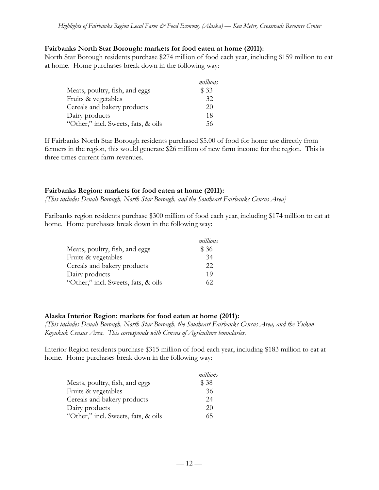#### **Fairbanks North Star Borough: markets for food eaten at home (2011):**

North Star Borough residents purchase \$274 million of food each year, including \$159 million to eat at home. Home purchases break down in the following way:

|                                     | millions |
|-------------------------------------|----------|
| Meats, poultry, fish, and eggs      | \$33     |
| Fruits & vegetables                 | 32       |
| Cereals and bakery products         | 20       |
| Dairy products                      | 18       |
| "Other," incl. Sweets, fats, & oils | 56       |

If Fairbanks North Star Borough residents purchased \$5.00 of food for home use directly from farmers in the region, this would generate \$26 million of new farm income for the region. This is three times current farm revenues.

### **Fairbanks Region: markets for food eaten at home (2011):**

*[This includes Denali Borough, North Star Borough, and the Southeast Fairbanks Census Area]*

Faribanks region residents purchase \$300 million of food each year, including \$174 million to eat at home. Home purchases break down in the following way:

|                                     | millions |
|-------------------------------------|----------|
| Meats, poultry, fish, and eggs      | \$ 36    |
| Fruits & vegetables                 | 34       |
| Cereals and bakery products         | 22       |
| Dairy products                      | 19       |
| "Other," incl. Sweets, fats, & oils | 62       |

### **Alaska Interior Region: markets for food eaten at home (2011):**

*[This includes Denali Borough, North Star Borough, the Southeast Fairbanks Census Area, and the Yukon-Koyukuk Census Area. This corresponds with Census of Agriculture boundaries.*

Interior Region residents purchase \$315 million of food each year, including \$183 million to eat at home. Home purchases break down in the following way:

|                                     | millions |
|-------------------------------------|----------|
| Meats, poultry, fish, and eggs      | \$38     |
| Fruits & vegetables                 | 36       |
| Cereals and bakery products         | 24       |
| Dairy products                      | 20       |
| "Other," incl. Sweets, fats, & oils | 65       |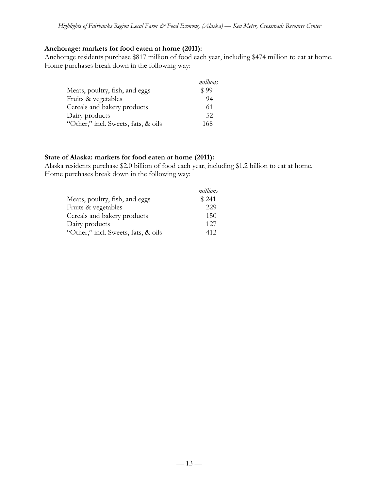#### **Anchorage: markets for food eaten at home (2011):**

Anchorage residents purchase \$817 million of food each year, including \$474 million to eat at home. Home purchases break down in the following way:

|                                     | millions |
|-------------------------------------|----------|
| Meats, poultry, fish, and eggs      | \$99     |
| Fruits & vegetables                 | 94       |
| Cereals and bakery products         | 61       |
| Dairy products                      | 52       |
| "Other," incl. Sweets, fats, & oils | 168      |

#### **State of Alaska: markets for food eaten at home (2011):**

Alaska residents purchase \$2.0 billion of food each year, including \$1.2 billion to eat at home. Home purchases break down in the following way:

|                                     | millions |
|-------------------------------------|----------|
| Meats, poultry, fish, and eggs      | \$241    |
| Fruits & vegetables                 | 229      |
| Cereals and bakery products         | 150      |
| Dairy products                      | 127      |
| "Other," incl. Sweets, fats, & oils | 412      |